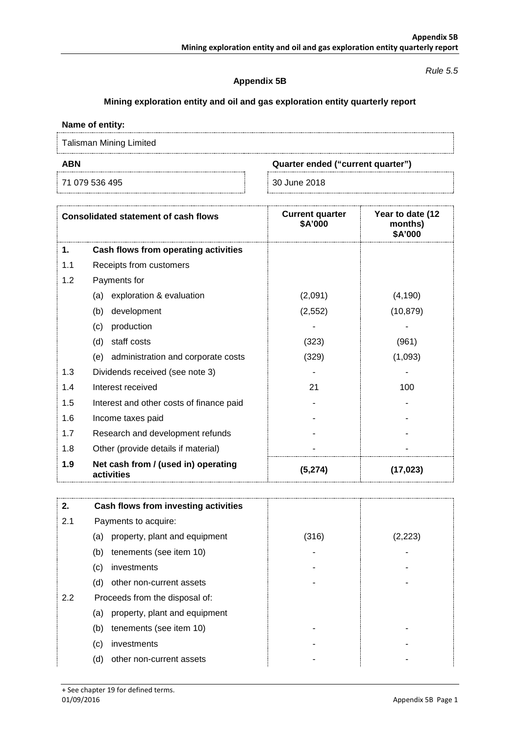#### *Rule 5.5*

### **Appendix 5B**

# **Mining exploration entity and oil and gas exploration entity quarterly report**

## **Name of entity:**

Talisman Mining Limited

71 079 536 495 30 June 2018

**ABN Quarter ended ("current quarter")**

| <b>Consolidated statement of cash flows</b> |                                                   | <b>Current quarter</b><br>\$A'000 | Year to date (12<br>months)<br>\$A'000 |
|---------------------------------------------|---------------------------------------------------|-----------------------------------|----------------------------------------|
| 1.                                          | Cash flows from operating activities              |                                   |                                        |
| 1.1                                         | Receipts from customers                           |                                   |                                        |
| 1.2                                         | Payments for                                      |                                   |                                        |
|                                             | exploration & evaluation<br>(a)                   | (2,091)                           | (4, 190)                               |
|                                             | (b)<br>development                                | (2, 552)                          | (10, 879)                              |
|                                             | production<br>(c)                                 |                                   |                                        |
|                                             | (d)<br>staff costs                                | (323)                             | (961)                                  |
|                                             | administration and corporate costs<br>(e)         | (329)                             | (1,093)                                |
| 1.3                                         | Dividends received (see note 3)                   |                                   |                                        |
| 1.4                                         | Interest received                                 | 21                                | 100                                    |
| 1.5                                         | Interest and other costs of finance paid          |                                   |                                        |
| 1.6                                         | Income taxes paid                                 |                                   |                                        |
| 1.7                                         | Research and development refunds                  |                                   |                                        |
| 1.8                                         | Other (provide details if material)               |                                   |                                        |
| 1.9                                         | Net cash from / (used in) operating<br>activities | (5, 274)                          | (17, 023)                              |

| 2.  | Cash flows from investing activities |       |         |
|-----|--------------------------------------|-------|---------|
| 2.1 | Payments to acquire:                 |       |         |
|     | property, plant and equipment<br>(a) | (316) | (2,223) |
|     | tenements (see item 10)<br>(b)       |       |         |
|     | investments<br>(c)                   |       |         |
|     | other non-current assets<br>(d)      |       |         |
| 2.2 | Proceeds from the disposal of:       |       |         |
|     | property, plant and equipment<br>(a) |       |         |
|     | tenements (see item 10)<br>(b)       |       |         |
|     | investments<br>(c)                   |       |         |
|     | (d)<br>other non-current assets      |       |         |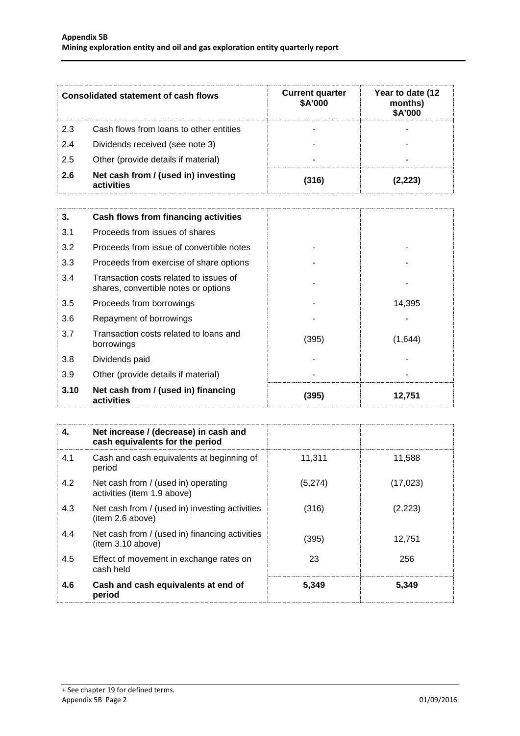| <b>Consolidated statement of cash flows</b> |                                                   | <b>Current quarter</b><br>\$A'000 | Year to date (12<br>months)<br>\$A'000 |
|---------------------------------------------|---------------------------------------------------|-----------------------------------|----------------------------------------|
| 2.3                                         | Cash flows from loans to other entities           |                                   |                                        |
| 2.4                                         | Dividends received (see note 3)                   |                                   |                                        |
| 2.5                                         | Other (provide details if material)               |                                   |                                        |
| 2.6                                         | Net cash from / (used in) investing<br>activities | (316)                             | 2.223                                  |

| 3.   | Cash flows from financing activities                                           |       |         |  |
|------|--------------------------------------------------------------------------------|-------|---------|--|
| 3.1  | Proceeds from issues of shares                                                 |       |         |  |
| 3.2  | Proceeds from issue of convertible notes                                       |       |         |  |
| 3.3  | Proceeds from exercise of share options                                        |       |         |  |
| 3.4  | Transaction costs related to issues of<br>shares, convertible notes or options |       |         |  |
| 3.5  | Proceeds from borrowings                                                       |       | 14,395  |  |
| 3.6  | Repayment of borrowings                                                        |       |         |  |
| 3.7  | Transaction costs related to loans and<br>borrowings                           | (395) | (1,644) |  |
| 3.8  | Dividends paid                                                                 |       |         |  |
| 3.9  | Other (provide details if material)                                            |       |         |  |
| 3.10 | Net cash from / (used in) financing<br>activities                              | (395) | 12,751  |  |

| 4.  | Net increase / (decrease) in cash and<br>cash equivalents for the period |         |           |
|-----|--------------------------------------------------------------------------|---------|-----------|
| 4.1 | Cash and cash equivalents at beginning of<br>period                      | 11.311  | 11,588    |
| 4.2 | Net cash from / (used in) operating<br>activities (item 1.9 above)       | (5,274) | (17, 023) |
| 4.3 | Net cash from / (used in) investing activities<br>(item 2.6 above)       | (316)   | (2,223)   |
| 4.4 | Net cash from / (used in) financing activities<br>item 3.10 above)       | (395)   | 12.751    |
| 4.5 | Effect of movement in exchange rates on<br>cash held                     | 23      | 256       |
| 4.6 | Cash and cash equivalents at end of<br>period                            | 5,349   | 5,349     |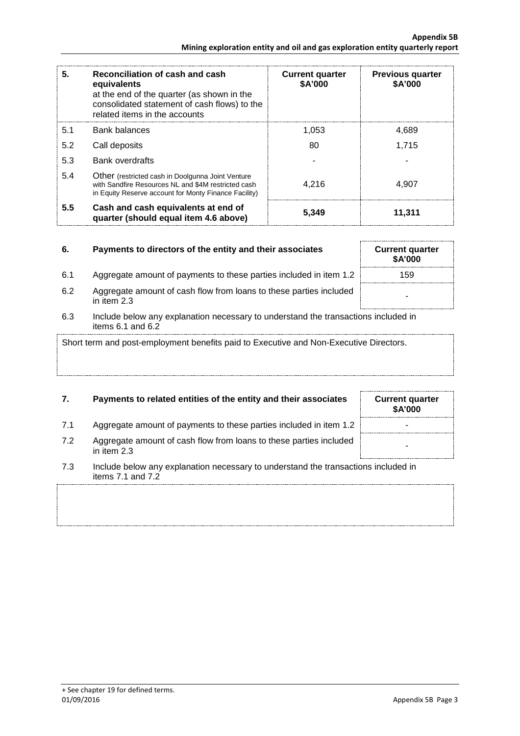| 5.  | Reconciliation of cash and cash<br>equivalents<br>at the end of the quarter (as shown in the<br>consolidated statement of cash flows) to the<br>related items in the accounts | <b>Current quarter</b><br>\$A'000 | <b>Previous quarter</b><br>\$A'000 |
|-----|-------------------------------------------------------------------------------------------------------------------------------------------------------------------------------|-----------------------------------|------------------------------------|
| 5.1 | Bank balances                                                                                                                                                                 | 1.053                             | 4,689                              |
| 5.2 | Call deposits                                                                                                                                                                 | 80                                | 1,715                              |
| 5.3 | <b>Bank overdrafts</b>                                                                                                                                                        |                                   |                                    |
| 5.4 | Other (restricted cash in Doolgunna Joint Venture<br>with Sandfire Resources NL and \$4M restricted cash<br>in Equity Reserve account for Monty Finance Facility)             | 4.216                             | 4.907                              |
| 5.5 | Cash and cash equivalents at end of<br>quarter (should equal item 4.6 above)                                                                                                  | 5,349                             | 11,311                             |

| 6. | Payments to directors of the entity and their associates |
|----|----------------------------------------------------------|
|    |                                                          |

- 6.1 Aggregate amount of payments to these parties included in item 1.2 159
- 6.2 Aggregate amount of cash flow from loans to these parties included in item 2.3
- 6.3 Include below any explanation necessary to understand the transactions included in items 6.1 and 6.2

Short term and post-employment benefits paid to Executive and Non-Executive Directors.

# **7.** Payments to related entities of the entity and their associates

- 7.1 Aggregate amount of payments to these parties included in item 1.2
- 7.2 Aggregate amount of cash flow from loans to these parties included in them 2.3
- 7.3 Include below any explanation necessary to understand the transactions included in items 7.1 and 7.2

| <b>Current quarter</b><br>\$A'000 |
|-----------------------------------|
|                                   |
|                                   |
|                                   |

**6. Current quarter \$A'000**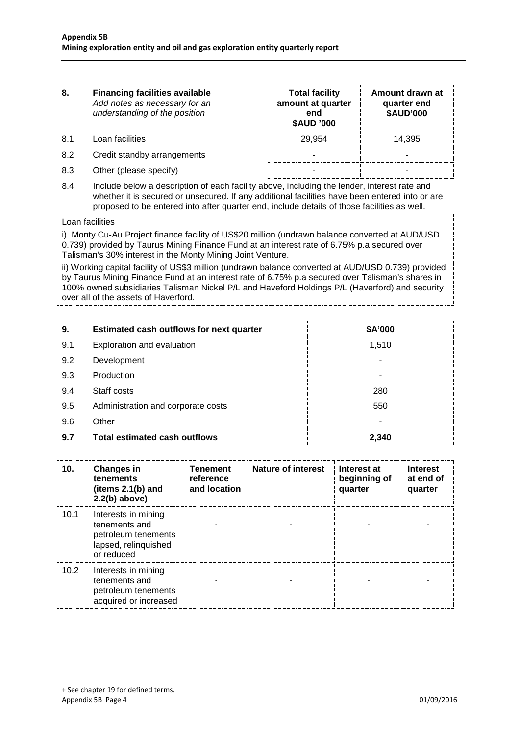**8. Financing facilities available** *Add notes as necessary for an understanding of the position* **Total facility amount at quarter end \$AUD '000 Amount drawn at quarter end \$AUD'000** 8.1 Loan facilities **29,954** 14,395 8.2 Credit standby arrangements and the standard standard standard standard standard standard standard standard standard standard standard standard standard standard standard standard standard standard standard standard st 8.3 Other (please specify) and the set of the set of the set of the set of the set of the set of the set of the set of the set of the set of the set of the set of the set of the set of the set of the set of the set of the

8.4 Include below a description of each facility above, including the lender, interest rate and whether it is secured or unsecured. If any additional facilities have been entered into or are proposed to be entered into after quarter end, include details of those facilities as well.

### Loan facilities

i) Monty Cu-Au Project finance facility of US\$20 million (undrawn balance converted at AUD/USD 0.739) provided by Taurus Mining Finance Fund at an interest rate of 6.75% p.a secured over Talisman's 30% interest in the Monty Mining Joint Venture.

ii) Working capital facility of US\$3 million (undrawn balance converted at AUD/USD 0.739) provided by Taurus Mining Finance Fund at an interest rate of 6.75% p.a secured over Talisman's shares in 100% owned subsidiaries Talisman Nickel P/L and Haveford Holdings P/L (Haverford) and security over all of the assets of Haverford.

| 9.  | Estimated cash outflows for next quarter | \$A'000 |
|-----|------------------------------------------|---------|
| 9.1 | Exploration and evaluation               | 1,510   |
| 9.2 | Development                              |         |
| 9.3 | Production                               |         |
| 9.4 | Staff costs                              | 280     |
| 9.5 | Administration and corporate costs       | 550     |
| 9.6 | Other                                    |         |
| 9.7 | <b>Total estimated cash outflows</b>     | 2.340   |

| 10.  | <b>Changes in</b><br>tenements<br>(items $2.1(b)$ and<br>$2.2(b)$ above)                          | Tenement<br>reference<br>and location | Nature of interest | Interest at<br>beginning of<br>quarter | <b>Interest</b><br>at end of<br>quarter |
|------|---------------------------------------------------------------------------------------------------|---------------------------------------|--------------------|----------------------------------------|-----------------------------------------|
| 10.1 | Interests in mining<br>tenements and<br>petroleum tenements<br>lapsed, relinquished<br>or reduced |                                       |                    |                                        |                                         |
| 10.2 | Interests in mining<br>tenements and<br>petroleum tenements<br>acquired or increased              |                                       |                    |                                        |                                         |